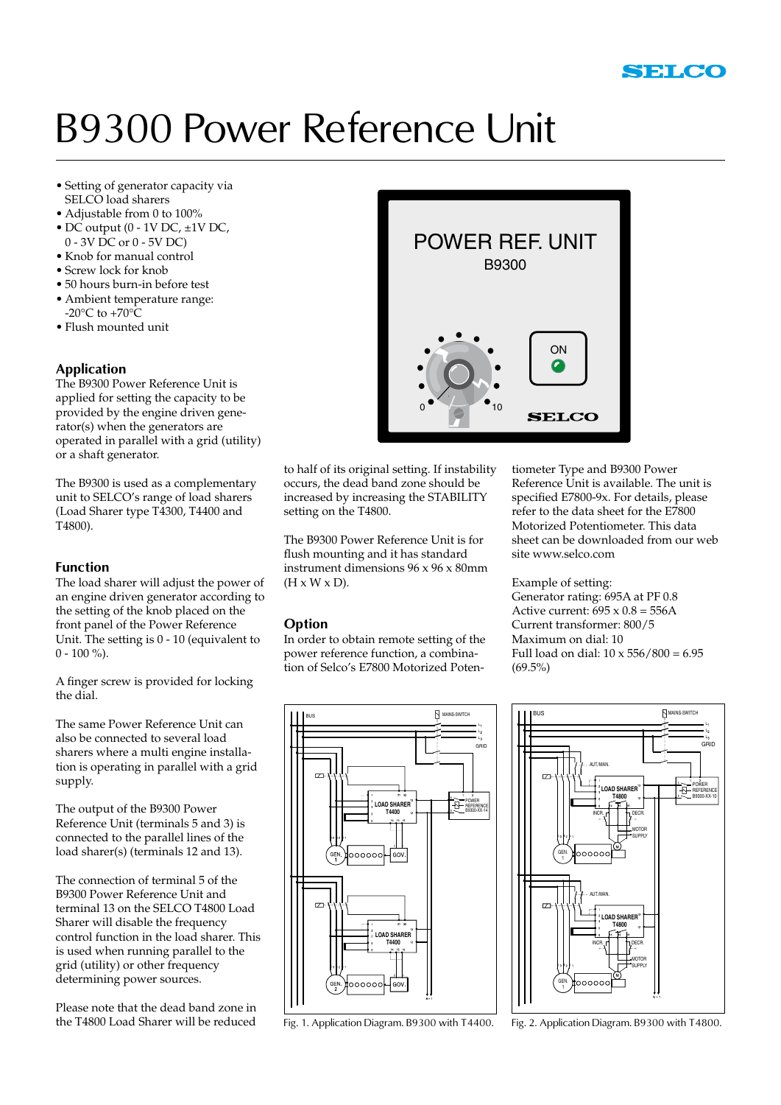## B9300 Power Reference Unit

- • Setting of generator capacity via SELCO load sharers
- Adjustable from 0 to 100%
- DC output  $(0 1V$  DC,  $\pm 1V$  DC, 0 - 3V DC or 0 - 5V DC)
- • Knob for manual control
- Screw lock for knob
- • 50 hours burn-in before test
- • Ambient temperature range:  $-20\degree C$  to  $+70\degree C$
- • Flush mounted unit

#### **Application**

The B9300 Power Reference Unit is applied for setting the capacity to be provided by the engine driven generator(s) when the generators are operated in parallel with a grid (utility) or a shaft generator.

The B9300 is used as a complementary unit to SELCO's range of load sharers (Load Sharer type T4300, T4400 and T4800).

#### **Function**

The load sharer will adjust the power of an engine driven generator according to the setting of the knob placed on the front panel of the Power Reference Unit. The setting is 0 - 10 (equivalent to  $0 - 100 \%$ ).

A finger screw is provided for locking the dial.

The same Power Reference Unit can also be connected to several load sharers where a multi engine installation is operating in parallel with a grid supply.

The output of the B9300 Power Reference Unit (terminals 5 and 3) is connected to the parallel lines of the load sharer(s) (terminals 12 and 13).

The connection of terminal 5 of the B9300 Power Reference Unit and terminal 13 on the SELCO T4800 Load Sharer will disable the frequency control function in the load sharer. This is used when running parallel to the grid (utility) or other frequency determining power sources.

Please note that the dead band zone in the T4800 Load Sharer will be reduced



to half of its original setting. If instability occurs, the dead band zone should be increased by increasing the STABILITY setting on the T4800.

The B9300 Power Reference Unit is for flush mounting and it has standard instrument dimensions 96 x 96 x 80mm  $(H \times W \times D)$ .

#### **Option**

In order to obtain remote setting of the power reference function, a combination of Selco's E7800 Motorized Poten-

tiometer Type and B9300 Power Reference Unit is available. The unit is specified E7800-9x. For details, please refer to the data sheet for the E7800 Motorized Potentiometer. This data sheet can be downloaded from our web site www.selco.com

Example of setting: Generator rating: 695A at PF 0.8 Active current:  $695 \times 0.8 = 556$ A Current transformer: 800/5 Maximum on dial: 10 Full load on dial:  $10 \times 556 / 800 = 6.95$  $(69.5\%)$ 



Fig. 1. Application Diagram. B9300 with T4400. Fig. 2. Application Diagram. B9300 with T4800.